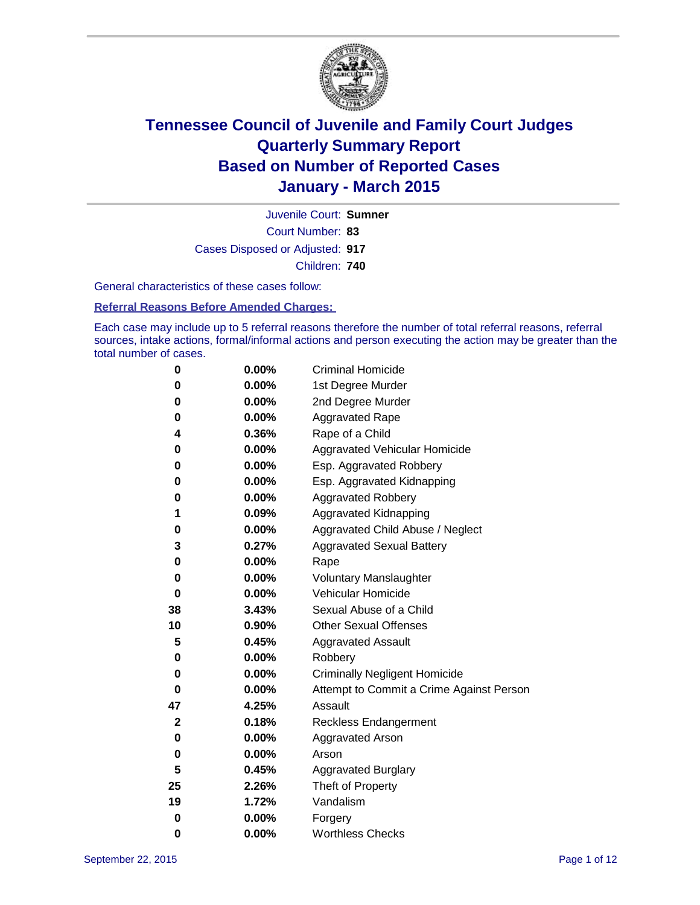

Court Number: **83** Juvenile Court: **Sumner** Cases Disposed or Adjusted: **917** Children: **740**

General characteristics of these cases follow:

#### **Referral Reasons Before Amended Charges:**

Each case may include up to 5 referral reasons therefore the number of total referral reasons, referral sources, intake actions, formal/informal actions and person executing the action may be greater than the total number of cases.

| 0           | $0.00\%$ | <b>Criminal Homicide</b>                 |
|-------------|----------|------------------------------------------|
| 0           | 0.00%    | 1st Degree Murder                        |
| 0           | 0.00%    | 2nd Degree Murder                        |
| 0           | 0.00%    | <b>Aggravated Rape</b>                   |
| 4           | 0.36%    | Rape of a Child                          |
| 0           | 0.00%    | Aggravated Vehicular Homicide            |
| 0           | 0.00%    | Esp. Aggravated Robbery                  |
| 0           | $0.00\%$ | Esp. Aggravated Kidnapping               |
| 0           | $0.00\%$ | <b>Aggravated Robbery</b>                |
| 1           | 0.09%    | Aggravated Kidnapping                    |
| 0           | 0.00%    | Aggravated Child Abuse / Neglect         |
| 3           | 0.27%    | <b>Aggravated Sexual Battery</b>         |
| 0           | $0.00\%$ | Rape                                     |
| 0           | 0.00%    | <b>Voluntary Manslaughter</b>            |
| 0           | 0.00%    | Vehicular Homicide                       |
| 38          | 3.43%    | Sexual Abuse of a Child                  |
| 10          | 0.90%    | <b>Other Sexual Offenses</b>             |
| 5           | 0.45%    | <b>Aggravated Assault</b>                |
| 0           | 0.00%    | Robbery                                  |
| 0           | $0.00\%$ | <b>Criminally Negligent Homicide</b>     |
| 0           | $0.00\%$ | Attempt to Commit a Crime Against Person |
| 47          | 4.25%    | Assault                                  |
| $\mathbf 2$ | 0.18%    | <b>Reckless Endangerment</b>             |
| 0           | 0.00%    | <b>Aggravated Arson</b>                  |
| 0           | 0.00%    | Arson                                    |
| 5           | 0.45%    | <b>Aggravated Burglary</b>               |
| 25          | 2.26%    | Theft of Property                        |
| 19          | 1.72%    | Vandalism                                |
| 0           | 0.00%    | Forgery                                  |
| 0           | 0.00%    | <b>Worthless Checks</b>                  |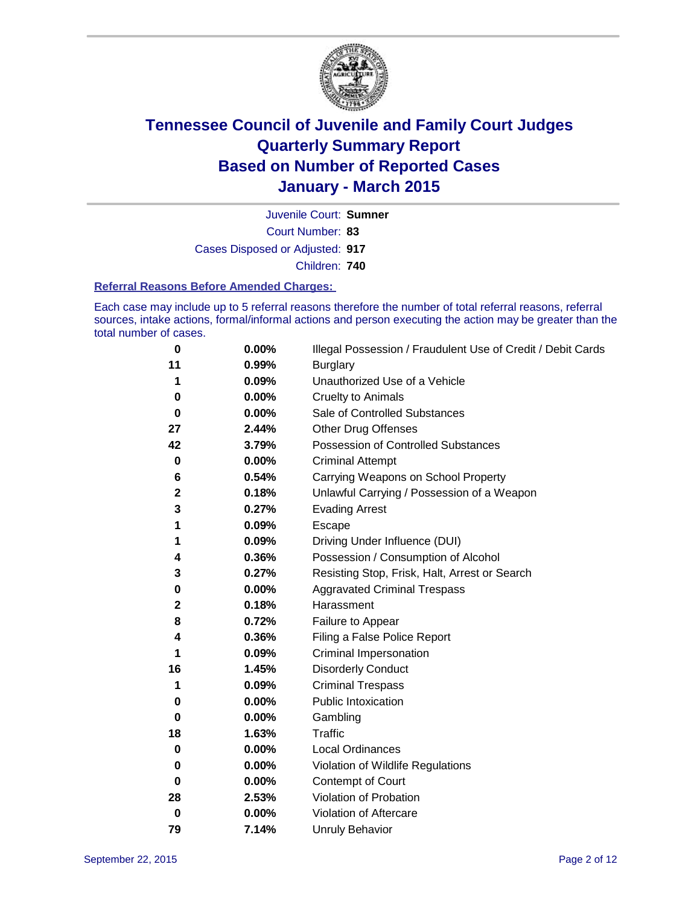

Court Number: **83** Juvenile Court: **Sumner** Cases Disposed or Adjusted: **917** Children: **740**

#### **Referral Reasons Before Amended Charges:**

Each case may include up to 5 referral reasons therefore the number of total referral reasons, referral sources, intake actions, formal/informal actions and person executing the action may be greater than the total number of cases.

| 0           | 0.00% | Illegal Possession / Fraudulent Use of Credit / Debit Cards |
|-------------|-------|-------------------------------------------------------------|
| 11          | 0.99% | <b>Burglary</b>                                             |
| 1           | 0.09% | Unauthorized Use of a Vehicle                               |
| 0           | 0.00% | <b>Cruelty to Animals</b>                                   |
| 0           | 0.00% | Sale of Controlled Substances                               |
| 27          | 2.44% | <b>Other Drug Offenses</b>                                  |
| 42          | 3.79% | Possession of Controlled Substances                         |
| $\bf{0}$    | 0.00% | <b>Criminal Attempt</b>                                     |
| 6           | 0.54% | Carrying Weapons on School Property                         |
| $\mathbf 2$ | 0.18% | Unlawful Carrying / Possession of a Weapon                  |
| 3           | 0.27% | <b>Evading Arrest</b>                                       |
| 1           | 0.09% | Escape                                                      |
| 1           | 0.09% | Driving Under Influence (DUI)                               |
| 4           | 0.36% | Possession / Consumption of Alcohol                         |
| 3           | 0.27% | Resisting Stop, Frisk, Halt, Arrest or Search               |
| 0           | 0.00% | <b>Aggravated Criminal Trespass</b>                         |
| $\mathbf 2$ | 0.18% | Harassment                                                  |
| 8           | 0.72% | Failure to Appear                                           |
| 4           | 0.36% | Filing a False Police Report                                |
| 1           | 0.09% | Criminal Impersonation                                      |
| 16          | 1.45% | <b>Disorderly Conduct</b>                                   |
| 1           | 0.09% | <b>Criminal Trespass</b>                                    |
| 0           | 0.00% | <b>Public Intoxication</b>                                  |
| 0           | 0.00% | Gambling                                                    |
| 18          | 1.63% | Traffic                                                     |
| $\bf{0}$    | 0.00% | Local Ordinances                                            |
| 0           | 0.00% | Violation of Wildlife Regulations                           |
| 0           | 0.00% | Contempt of Court                                           |
| 28          | 2.53% | Violation of Probation                                      |
| 0           | 0.00% | Violation of Aftercare                                      |
| 79          | 7.14% | <b>Unruly Behavior</b>                                      |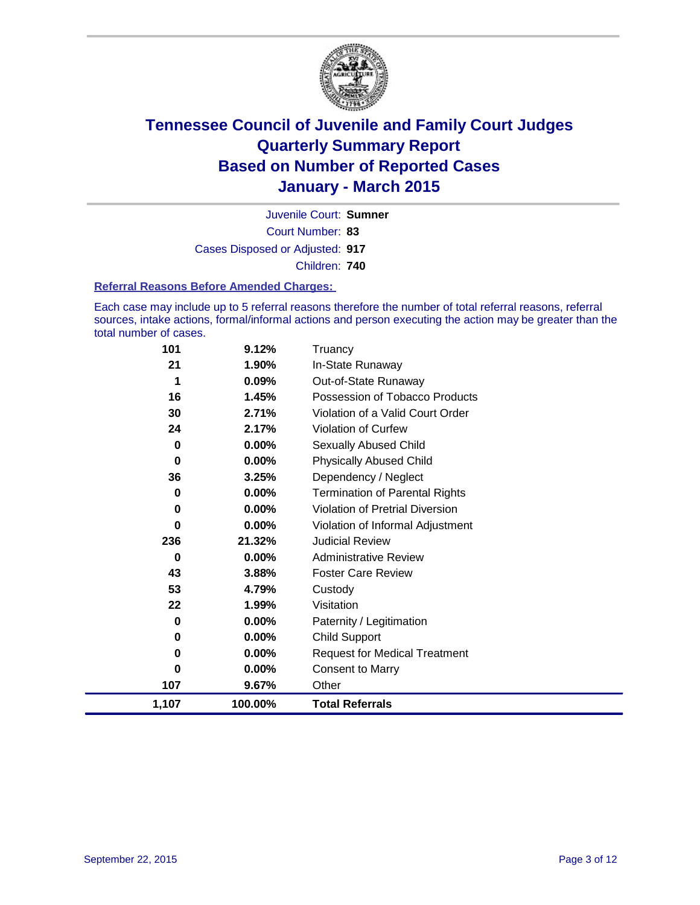

Court Number: **83** Juvenile Court: **Sumner** Cases Disposed or Adjusted: **917** Children: **740**

#### **Referral Reasons Before Amended Charges:**

Each case may include up to 5 referral reasons therefore the number of total referral reasons, referral sources, intake actions, formal/informal actions and person executing the action may be greater than the total number of cases.

| 101   | 9.12%    | Truancy                                |
|-------|----------|----------------------------------------|
| 21    | 1.90%    | In-State Runaway                       |
| 1     | 0.09%    | Out-of-State Runaway                   |
| 16    | 1.45%    | Possession of Tobacco Products         |
| 30    | 2.71%    | Violation of a Valid Court Order       |
| 24    | 2.17%    | Violation of Curfew                    |
| 0     | 0.00%    | Sexually Abused Child                  |
| 0     | $0.00\%$ | <b>Physically Abused Child</b>         |
| 36    | 3.25%    | Dependency / Neglect                   |
| 0     | $0.00\%$ | <b>Termination of Parental Rights</b>  |
| 0     | 0.00%    | <b>Violation of Pretrial Diversion</b> |
| 0     | 0.00%    | Violation of Informal Adjustment       |
| 236   | 21.32%   | <b>Judicial Review</b>                 |
| 0     | 0.00%    | <b>Administrative Review</b>           |
| 43    | 3.88%    | <b>Foster Care Review</b>              |
| 53    | 4.79%    | Custody                                |
| 22    | 1.99%    | Visitation                             |
| 0     | 0.00%    | Paternity / Legitimation               |
| 0     | $0.00\%$ | Child Support                          |
| 0     | 0.00%    | <b>Request for Medical Treatment</b>   |
| 0     | $0.00\%$ | <b>Consent to Marry</b>                |
| 107   | 9.67%    | Other                                  |
| 1,107 | 100.00%  | <b>Total Referrals</b>                 |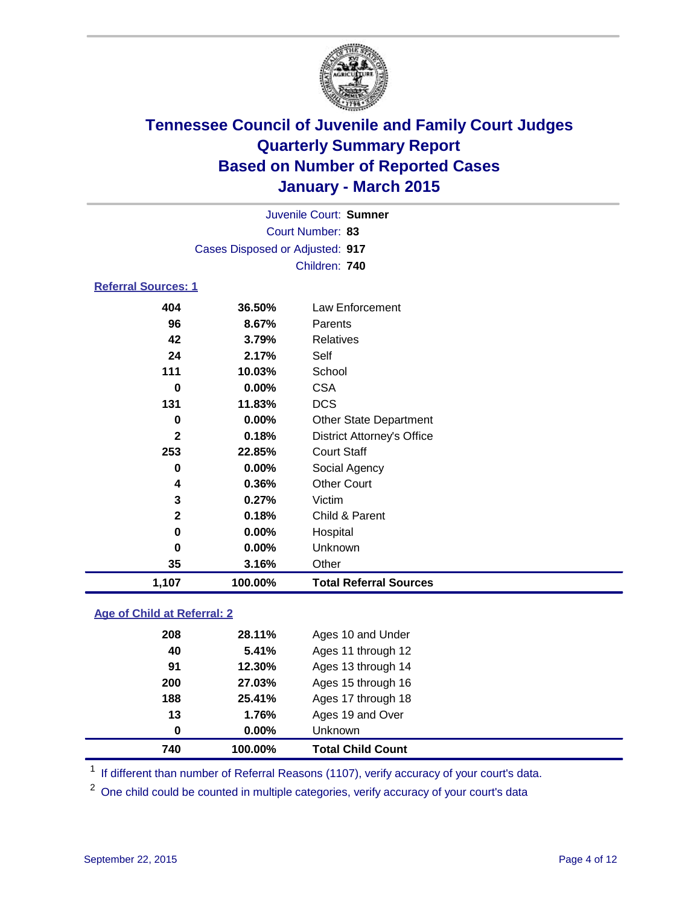

|                            |                                 | Juvenile Court: Sumner        |  |  |  |  |
|----------------------------|---------------------------------|-------------------------------|--|--|--|--|
|                            | Court Number: 83                |                               |  |  |  |  |
|                            | Cases Disposed or Adjusted: 917 |                               |  |  |  |  |
|                            |                                 | Children: 740                 |  |  |  |  |
| <b>Referral Sources: 1</b> |                                 |                               |  |  |  |  |
| 404                        | 36.50%                          | Law Enforcement               |  |  |  |  |
| 96                         | 8.67%                           | Parents                       |  |  |  |  |
| 42                         | 3.79%                           | Relatives                     |  |  |  |  |
| 24                         | 2.17%                           | Self                          |  |  |  |  |
| 111                        | 10.03%                          | School                        |  |  |  |  |
| 0                          | $0.00\%$                        | <b>CSA</b>                    |  |  |  |  |
| 131                        | 11.83%                          | <b>DCS</b>                    |  |  |  |  |
| 0                          | $0.00\%$                        | <b>Other State Department</b> |  |  |  |  |
| -                          | .                               |                               |  |  |  |  |

| 1,107        | 100.00% | <b>Total Referral Sources</b>     |
|--------------|---------|-----------------------------------|
| 35           | 3.16%   | Other                             |
| 0            | 0.00%   | Unknown                           |
| 0            | 0.00%   | Hospital                          |
| $\mathbf{2}$ | 0.18%   | Child & Parent                    |
| 3            | 0.27%   | Victim                            |
| 4            | 0.36%   | <b>Other Court</b>                |
| 0            | 0.00%   | Social Agency                     |
| 253          | 22.85%  | <b>Court Staff</b>                |
| 2            | 0.18%   | <b>District Attorney's Office</b> |
| 0            | 0.00%   | <b>Other State Department</b>     |
| 131          | 11.83%  | <b>DCS</b>                        |
| 0            | 0.00%   | <b>CSA</b>                        |
| 111          | 10.03%  | School                            |

### **Age of Child at Referral: 2**

| 740      | 100.00%  | <b>Total Child Count</b> |
|----------|----------|--------------------------|
| $\bf{0}$ | $0.00\%$ | Unknown                  |
| 13       | 1.76%    | Ages 19 and Over         |
| 188      | 25.41%   | Ages 17 through 18       |
| 200      | 27.03%   | Ages 15 through 16       |
| 91       | 12.30%   | Ages 13 through 14       |
| 40       | 5.41%    | Ages 11 through 12       |
| 208      | 28.11%   | Ages 10 and Under        |
|          |          |                          |

<sup>1</sup> If different than number of Referral Reasons (1107), verify accuracy of your court's data.

One child could be counted in multiple categories, verify accuracy of your court's data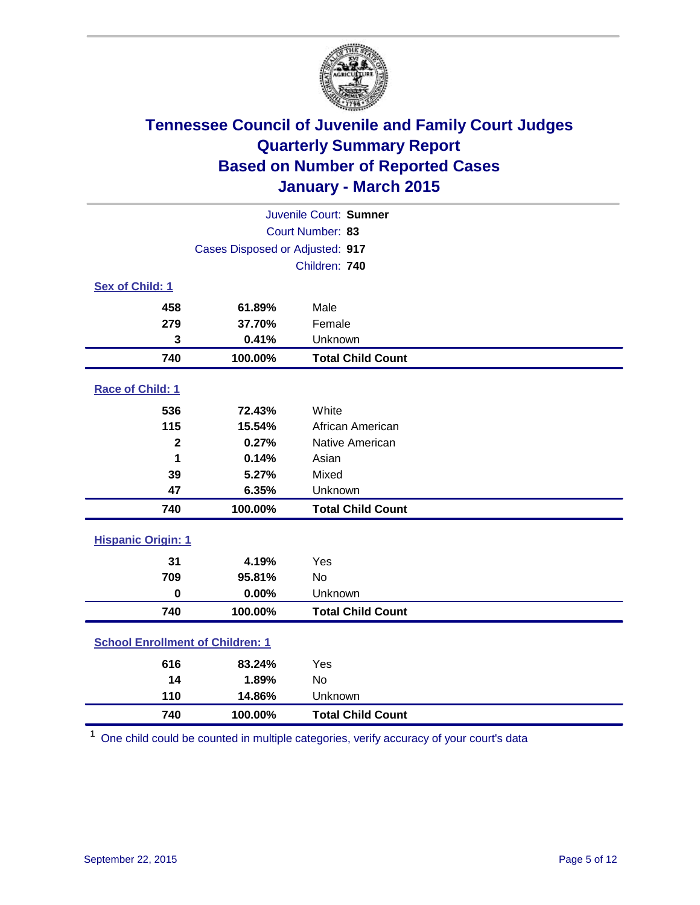

| Juvenile Court: Sumner                  |                                 |                          |  |
|-----------------------------------------|---------------------------------|--------------------------|--|
|                                         |                                 | Court Number: 83         |  |
|                                         | Cases Disposed or Adjusted: 917 |                          |  |
|                                         |                                 | Children: 740            |  |
| Sex of Child: 1                         |                                 |                          |  |
| 458                                     | 61.89%                          | Male                     |  |
| 279                                     | 37.70%                          | Female                   |  |
| 3                                       | 0.41%                           | Unknown                  |  |
| 740                                     | 100.00%                         | <b>Total Child Count</b> |  |
| Race of Child: 1                        |                                 |                          |  |
| 536                                     | 72.43%                          | White                    |  |
| 115                                     | 15.54%                          | African American         |  |
| $\mathbf 2$                             | 0.27%                           | Native American          |  |
| 1                                       | 0.14%                           | Asian                    |  |
| 39                                      | 5.27%                           | Mixed                    |  |
| 47                                      | 6.35%                           | Unknown                  |  |
| 740                                     | 100.00%                         | <b>Total Child Count</b> |  |
| <b>Hispanic Origin: 1</b>               |                                 |                          |  |
| 31                                      | 4.19%                           | Yes                      |  |
| 709                                     | 95.81%                          | <b>No</b>                |  |
| $\mathbf 0$                             | 0.00%                           | Unknown                  |  |
| 740                                     | 100.00%                         | <b>Total Child Count</b> |  |
| <b>School Enrollment of Children: 1</b> |                                 |                          |  |
| 616                                     | 83.24%                          | Yes                      |  |
| 14                                      | 1.89%                           | <b>No</b>                |  |
| 110                                     | 14.86%                          | Unknown                  |  |
| 740                                     | 100.00%                         | <b>Total Child Count</b> |  |

One child could be counted in multiple categories, verify accuracy of your court's data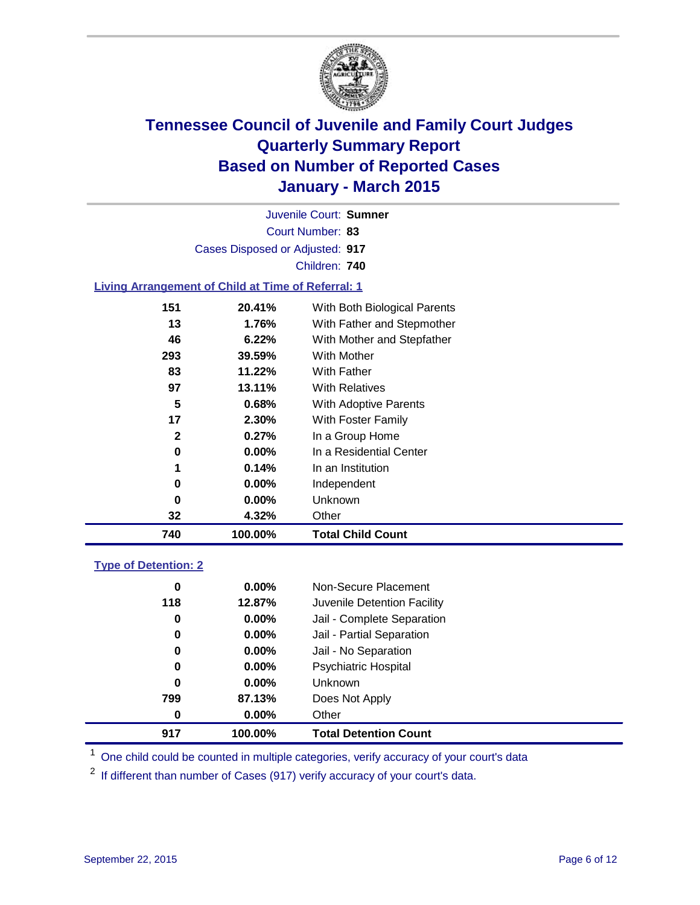

Court Number: **83** Juvenile Court: **Sumner** Cases Disposed or Adjusted: **917** Children: **740**

### **Living Arrangement of Child at Time of Referral: 1**

| 740 | 100.00%               | <b>Total Child Count</b>     |
|-----|-----------------------|------------------------------|
| 32  | 4.32%                 | Other                        |
|     | 0.00%<br>0            | Unknown                      |
|     | 0.00%<br>0            | Independent                  |
|     | 1<br>0.14%            | In an Institution            |
|     | 0.00%<br>0            | In a Residential Center      |
|     | $\mathbf{2}$<br>0.27% | In a Group Home              |
| 17  | 2.30%                 | With Foster Family           |
|     | 5<br>0.68%            | <b>With Adoptive Parents</b> |
| 97  | 13.11%                | <b>With Relatives</b>        |
| 83  | 11.22%                | With Father                  |
| 293 | 39.59%                | With Mother                  |
| 46  | 6.22%                 | With Mother and Stepfather   |
| 13  | 1.76%                 | With Father and Stepmother   |
| 151 | 20.41%                | With Both Biological Parents |
|     |                       |                              |

### **Type of Detention: 2**

| 0   | $0.00\%$ | Non-Secure Placement         |  |
|-----|----------|------------------------------|--|
| 118 | 12.87%   | Juvenile Detention Facility  |  |
| 0   | $0.00\%$ | Jail - Complete Separation   |  |
| 0   | $0.00\%$ | Jail - Partial Separation    |  |
| 0   | $0.00\%$ | Jail - No Separation         |  |
| 0   | $0.00\%$ | <b>Psychiatric Hospital</b>  |  |
| 0   | $0.00\%$ | <b>Unknown</b>               |  |
| 799 | 87.13%   | Does Not Apply               |  |
| 0   | $0.00\%$ | Other                        |  |
| 917 | 100.00%  | <b>Total Detention Count</b> |  |

<sup>1</sup> One child could be counted in multiple categories, verify accuracy of your court's data

If different than number of Cases (917) verify accuracy of your court's data.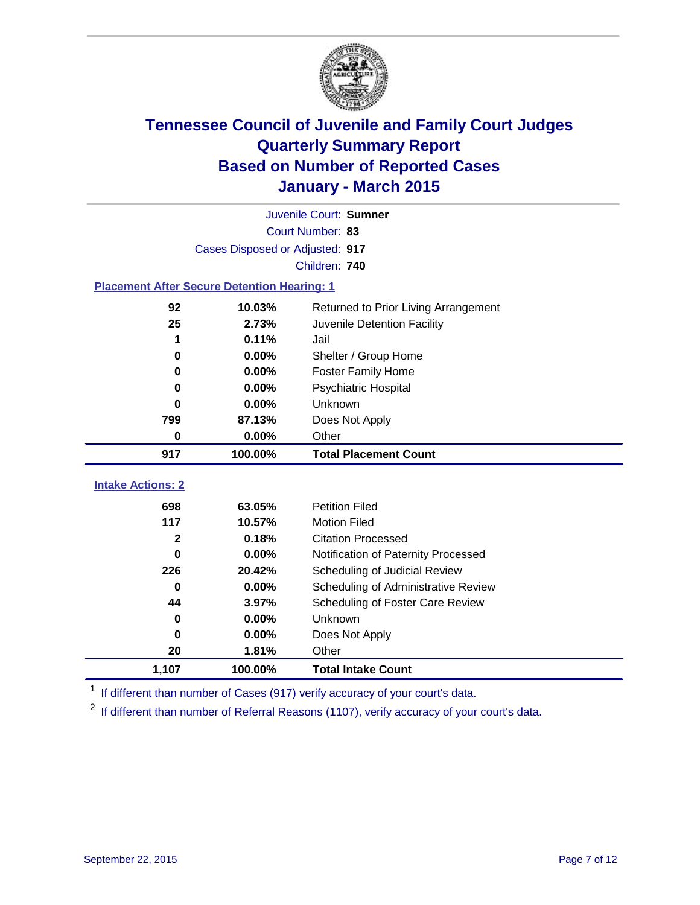

|                                                    |         | Juvenile Court: Sumner               |  |  |
|----------------------------------------------------|---------|--------------------------------------|--|--|
| Court Number: 83                                   |         |                                      |  |  |
| Cases Disposed or Adjusted: 917                    |         |                                      |  |  |
|                                                    |         | Children: 740                        |  |  |
| <b>Placement After Secure Detention Hearing: 1</b> |         |                                      |  |  |
| 92                                                 | 10.03%  | Returned to Prior Living Arrangement |  |  |
| 25                                                 | 2.73%   | Juvenile Detention Facility          |  |  |
| 1                                                  | 0.11%   | Jail                                 |  |  |
| 0                                                  | 0.00%   | Shelter / Group Home                 |  |  |
| $\bf{0}$                                           | 0.00%   | <b>Foster Family Home</b>            |  |  |
| $\bf{0}$                                           | 0.00%   | <b>Psychiatric Hospital</b>          |  |  |
| 0                                                  | 0.00%   | Unknown                              |  |  |
| 799                                                | 87.13%  | Does Not Apply                       |  |  |
| 0                                                  | 0.00%   | Other                                |  |  |
| 917                                                | 100.00% | <b>Total Placement Count</b>         |  |  |
|                                                    |         |                                      |  |  |
| <b>Intake Actions: 2</b>                           |         |                                      |  |  |
| 698                                                | 63.05%  | <b>Petition Filed</b>                |  |  |
| 117                                                | 10.57%  | <b>Motion Filed</b>                  |  |  |
| $\mathbf{2}$                                       | 0.18%   | <b>Citation Processed</b>            |  |  |
| 0                                                  | 0.00%   | Notification of Paternity Processed  |  |  |
| 226                                                | 20.42%  | Scheduling of Judicial Review        |  |  |
| $\bf{0}$                                           | 0.00%   | Scheduling of Administrative Review  |  |  |
| 44                                                 | 3.97%   | Scheduling of Foster Care Review     |  |  |
| 0                                                  | 0.00%   | Unknown                              |  |  |
| 0                                                  | 0.00%   | Does Not Apply                       |  |  |
| 20                                                 | 1.81%   | Other                                |  |  |
| 1,107                                              | 100.00% | <b>Total Intake Count</b>            |  |  |

<sup>1</sup> If different than number of Cases (917) verify accuracy of your court's data.

If different than number of Referral Reasons (1107), verify accuracy of your court's data.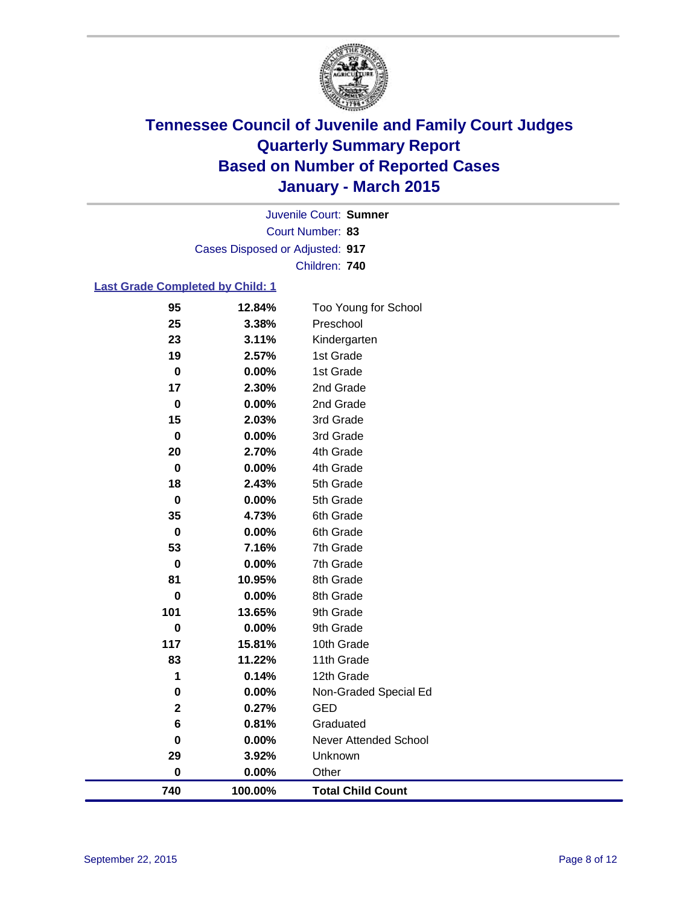

Court Number: **83** Juvenile Court: **Sumner** Cases Disposed or Adjusted: **917** Children: **740**

### **Last Grade Completed by Child: 1**

| 95                      | 12.84%  | Too Young for School     |
|-------------------------|---------|--------------------------|
| 25                      | 3.38%   | Preschool                |
| 23                      | 3.11%   | Kindergarten             |
| 19                      | 2.57%   | 1st Grade                |
| $\pmb{0}$               | 0.00%   | 1st Grade                |
| 17                      | 2.30%   | 2nd Grade                |
| $\mathbf 0$             | 0.00%   | 2nd Grade                |
| 15                      | 2.03%   | 3rd Grade                |
| $\pmb{0}$               | 0.00%   | 3rd Grade                |
| 20                      | 2.70%   | 4th Grade                |
| $\mathbf 0$             | 0.00%   | 4th Grade                |
| 18                      | 2.43%   | 5th Grade                |
| $\mathbf 0$             | 0.00%   | 5th Grade                |
| 35                      | 4.73%   | 6th Grade                |
| $\pmb{0}$               | 0.00%   | 6th Grade                |
| 53                      | 7.16%   | 7th Grade                |
| 0                       | 0.00%   | 7th Grade                |
| 81                      | 10.95%  | 8th Grade                |
| $\mathbf 0$             | 0.00%   | 8th Grade                |
| 101                     | 13.65%  | 9th Grade                |
| $\mathbf 0$             | 0.00%   | 9th Grade                |
| 117                     | 15.81%  | 10th Grade               |
| 83                      | 11.22%  | 11th Grade               |
| 1                       | 0.14%   | 12th Grade               |
| 0                       | 0.00%   | Non-Graded Special Ed    |
| $\overline{\mathbf{2}}$ | 0.27%   | <b>GED</b>               |
| 6                       | 0.81%   | Graduated                |
| $\pmb{0}$               | 0.00%   | Never Attended School    |
| 29                      | 3.92%   | Unknown                  |
| $\pmb{0}$               | 0.00%   | Other                    |
| 740                     | 100.00% | <b>Total Child Count</b> |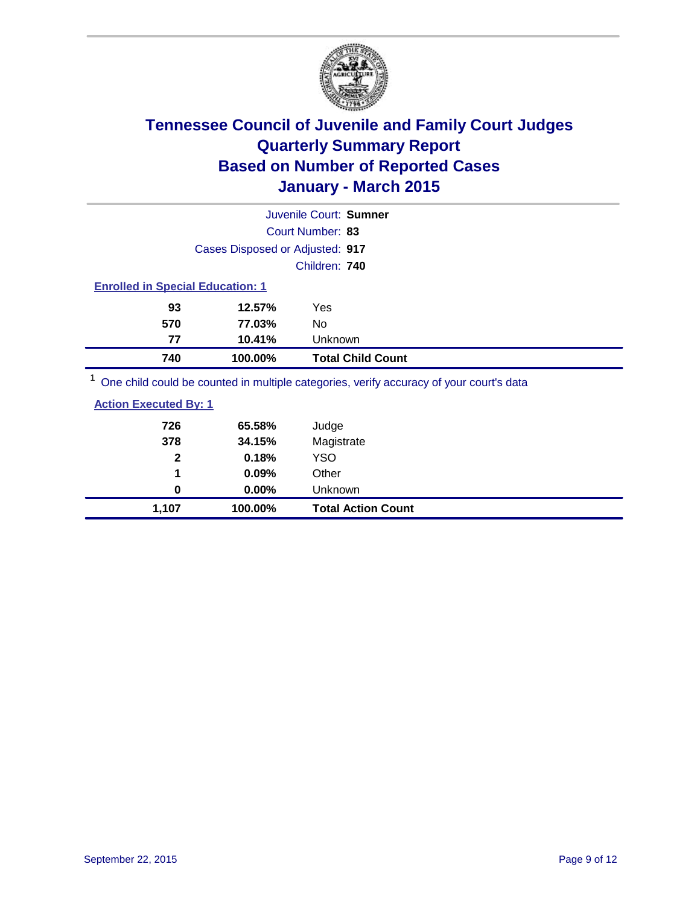

|                                         |                                 | Juvenile Court: Sumner                                                                |  |  |
|-----------------------------------------|---------------------------------|---------------------------------------------------------------------------------------|--|--|
|                                         |                                 | Court Number: 83                                                                      |  |  |
|                                         | Cases Disposed or Adjusted: 917 |                                                                                       |  |  |
|                                         |                                 | Children: 740                                                                         |  |  |
| <b>Enrolled in Special Education: 1</b> |                                 |                                                                                       |  |  |
| 93                                      | 12.57%                          | Yes                                                                                   |  |  |
| 570                                     | 77.03%                          | No.                                                                                   |  |  |
| 77                                      | 10.41%                          | <b>Unknown</b>                                                                        |  |  |
| 740                                     | 100.00%                         | <b>Total Child Count</b>                                                              |  |  |
|                                         |                                 | One objet could be counted in multiple estagging worify accuracy of your courtie data |  |  |

<sup>1</sup> One child could be counted in multiple categories, verify accuracy of your court's data

| 0                            | $0.00\%$       | Unknown             |  |
|------------------------------|----------------|---------------------|--|
| $\mathbf{2}$<br>1            | 0.18%<br>0.09% | <b>YSO</b><br>Other |  |
| 378                          | 34.15%         | Magistrate          |  |
| 726                          | 65.58%         | Judge               |  |
| <b>Action Executed By: 1</b> |                |                     |  |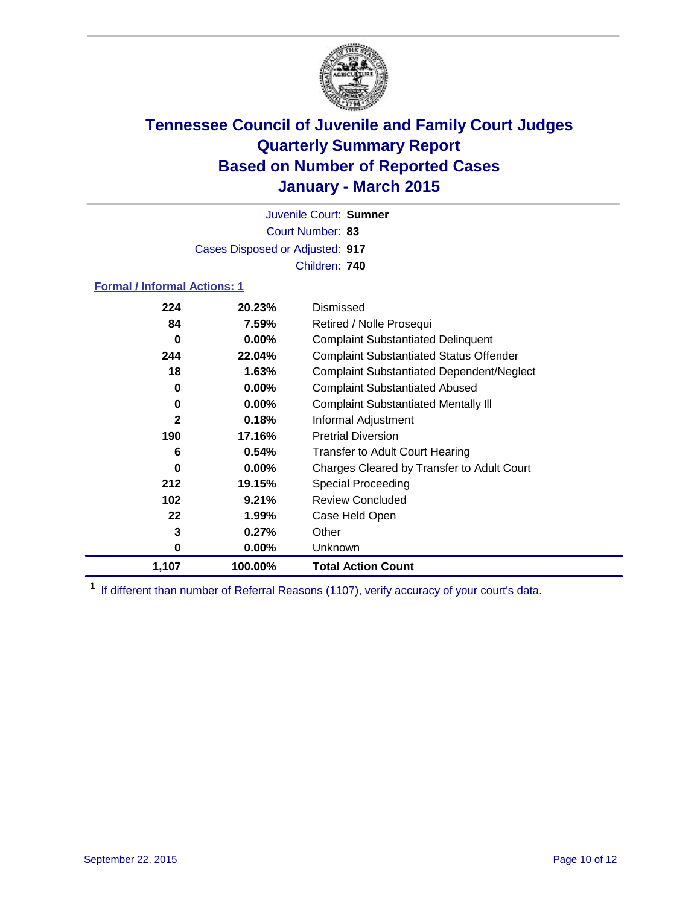

Court Number: **83** Juvenile Court: **Sumner** Cases Disposed or Adjusted: **917** Children: **740**

### **Formal / Informal Actions: 1**

| 224         | 20.23%   | Dismissed                                        |
|-------------|----------|--------------------------------------------------|
| 84          | 7.59%    | Retired / Nolle Prosequi                         |
| 0           | $0.00\%$ | <b>Complaint Substantiated Delinquent</b>        |
| 244         | 22.04%   | <b>Complaint Substantiated Status Offender</b>   |
| 18          | 1.63%    | <b>Complaint Substantiated Dependent/Neglect</b> |
| 0           | 0.00%    | <b>Complaint Substantiated Abused</b>            |
| 0           | $0.00\%$ | <b>Complaint Substantiated Mentally III</b>      |
| $\mathbf 2$ | 0.18%    | Informal Adjustment                              |
| 190         | 17.16%   | <b>Pretrial Diversion</b>                        |
| 6           | 0.54%    | <b>Transfer to Adult Court Hearing</b>           |
| 0           | $0.00\%$ | Charges Cleared by Transfer to Adult Court       |
| 212         | 19.15%   | Special Proceeding                               |
| 102         | 9.21%    | <b>Review Concluded</b>                          |
| 22          | 1.99%    | Case Held Open                                   |
| 3           | 0.27%    | Other                                            |
| 0           | $0.00\%$ | Unknown                                          |
| 1,107       | 100.00%  | <b>Total Action Count</b>                        |

<sup>1</sup> If different than number of Referral Reasons (1107), verify accuracy of your court's data.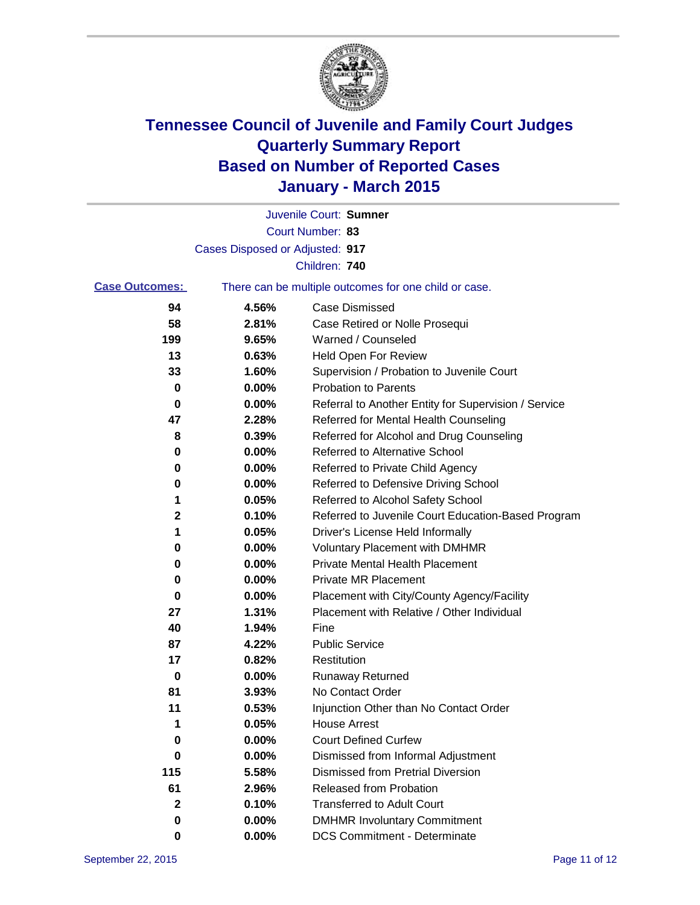

|                       |                                 | Juvenile Court: Sumner                                |
|-----------------------|---------------------------------|-------------------------------------------------------|
|                       |                                 | Court Number: 83                                      |
|                       | Cases Disposed or Adjusted: 917 |                                                       |
|                       |                                 | Children: 740                                         |
| <b>Case Outcomes:</b> |                                 | There can be multiple outcomes for one child or case. |
| 94                    | 4.56%                           | <b>Case Dismissed</b>                                 |
| 58                    | 2.81%                           | Case Retired or Nolle Prosequi                        |
| 199                   | 9.65%                           | Warned / Counseled                                    |
| 13                    | 0.63%                           | Held Open For Review                                  |
| 33                    | 1.60%                           | Supervision / Probation to Juvenile Court             |
| 0                     | 0.00%                           | <b>Probation to Parents</b>                           |
| 0                     | 0.00%                           | Referral to Another Entity for Supervision / Service  |
| 47                    | 2.28%                           | Referred for Mental Health Counseling                 |
| 8                     | 0.39%                           | Referred for Alcohol and Drug Counseling              |
| 0                     | 0.00%                           | <b>Referred to Alternative School</b>                 |
| 0                     | 0.00%                           | Referred to Private Child Agency                      |
| 0                     | 0.00%                           | Referred to Defensive Driving School                  |
| 1                     | 0.05%                           | Referred to Alcohol Safety School                     |
| 2                     | 0.10%                           | Referred to Juvenile Court Education-Based Program    |
| 1                     | 0.05%                           | Driver's License Held Informally                      |
| 0                     | 0.00%                           | <b>Voluntary Placement with DMHMR</b>                 |
| 0                     | 0.00%                           | <b>Private Mental Health Placement</b>                |
| 0                     | 0.00%                           | Private MR Placement                                  |
| 0                     | 0.00%                           | Placement with City/County Agency/Facility            |
| 27                    | 1.31%                           | Placement with Relative / Other Individual            |
| 40                    | 1.94%                           | Fine                                                  |
| 87                    | 4.22%                           | <b>Public Service</b>                                 |
| 17                    | 0.82%                           | Restitution                                           |
| 0                     | 0.00%                           | <b>Runaway Returned</b>                               |
| 81                    | 3.93%                           | No Contact Order                                      |
| 11                    | 0.53%                           | Injunction Other than No Contact Order                |
| 1                     | 0.05%                           | House Arrest                                          |
| 0                     | 0.00%                           | <b>Court Defined Curfew</b>                           |
| 0                     | 0.00%                           | Dismissed from Informal Adjustment                    |
| 115                   | 5.58%                           | <b>Dismissed from Pretrial Diversion</b>              |
| 61                    | 2.96%                           | Released from Probation                               |
| 2                     | 0.10%                           | <b>Transferred to Adult Court</b>                     |
| 0                     | 0.00%                           | <b>DMHMR Involuntary Commitment</b>                   |
| 0                     | $0.00\%$                        | <b>DCS Commitment - Determinate</b>                   |